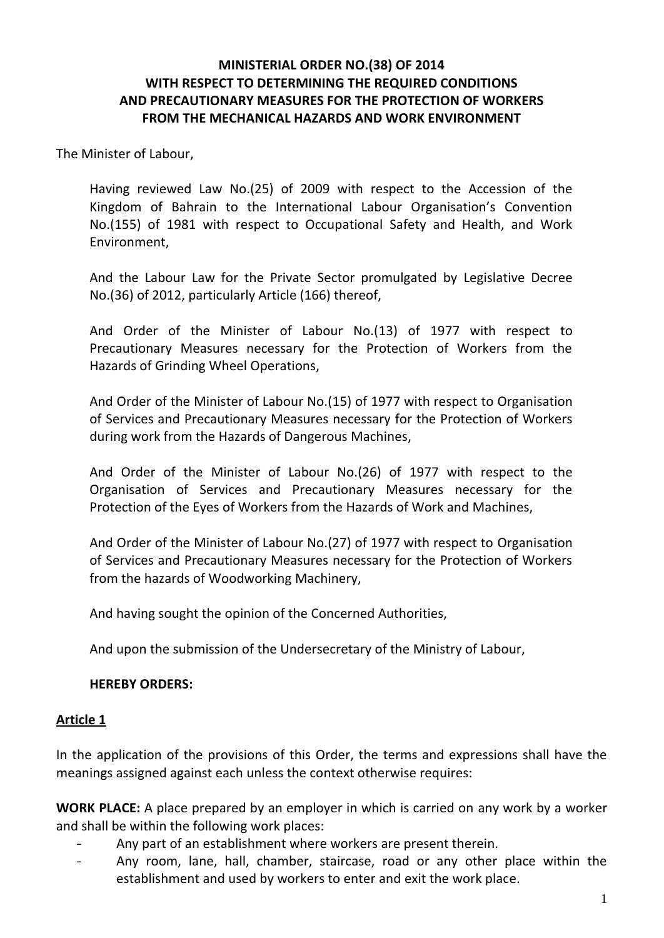#### **MINISTERIAL ORDER NO.(38) OF 2014 WITH RESPECT TO DETERMINING THE REQUIRED CONDITIONS AND PRECAUTIONARY MEASURES FOR THE PROTECTION OF WORKERS FROM THE MECHANICAL HAZARDS AND WORK ENVIRONMENT**

The Minister of Labour,

Having reviewed Law No.(25) of 2009 with respect to the Accession of the Kingdom of Bahrain to the International Labour Organisation's Convention No.(155) of 1981 with respect to Occupational Safety and Health, and Work Environment,

And the Labour Law for the Private Sector promulgated by Legislative Decree No.(36) of 2012, particularly Article (166) thereof,

And Order of the Minister of Labour No.(13) of 1977 with respect to Precautionary Measures necessary for the Protection of Workers from the Hazards of Grinding Wheel Operations,

And Order of the Minister of Labour No.(15) of 1977 with respect to Organisation of Services and Precautionary Measures necessary for the Protection of Workers during work from the Hazards of Dangerous Machines,

And Order of the Minister of Labour No.(26) of 1977 with respect to the Organisation of Services and Precautionary Measures necessary for the Protection of the Eyes of Workers from the Hazards of Work and Machines,

And Order of the Minister of Labour No.(27) of 1977 with respect to Organisation of Services and Precautionary Measures necessary for the Protection of Workers from the hazards of Woodworking Machinery,

And having sought the opinion of the Concerned Authorities,

And upon the submission of the Undersecretary of the Ministry of Labour,

#### **HEREBY ORDERS:**

#### **Article 1**

In the application of the provisions of this Order, the terms and expressions shall have the meanings assigned against each unless the context otherwise requires:

**WORK PLACE:** A place prepared by an employer in which is carried on any work by a worker and shall be within the following work places:

- Any part of an establishment where workers are present therein.
- Any room, lane, hall, chamber, staircase, road or any other place within the establishment and used by workers to enter and exit the work place.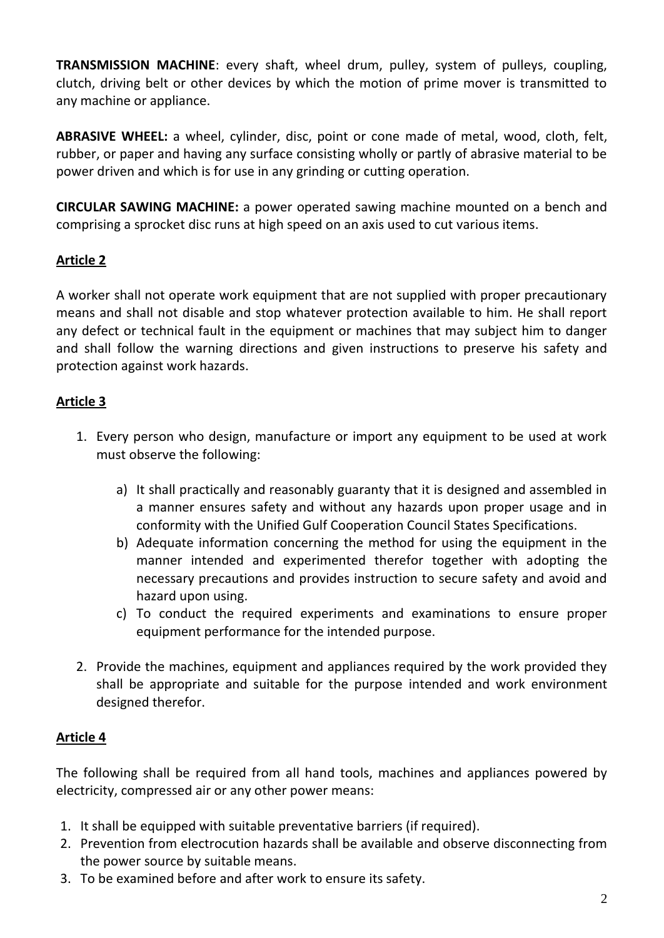**TRANSMISSION MACHINE**: every shaft, wheel drum, pulley, system of pulleys, coupling, clutch, driving belt or other devices by which the motion of prime mover is transmitted to any machine or appliance.

**ABRASIVE WHEEL:** a wheel, cylinder, disc, point or cone made of metal, wood, cloth, felt, rubber, or paper and having any surface consisting wholly or partly of abrasive material to be power driven and which is for use in any grinding or cutting operation.

**CIRCULAR SAWING MACHINE:** a power operated sawing machine mounted on a bench and comprising a sprocket disc runs at high speed on an axis used to cut various items.

# **Article 2**

A worker shall not operate work equipment that are not supplied with proper precautionary means and shall not disable and stop whatever protection available to him. He shall report any defect or technical fault in the equipment or machines that may subject him to danger and shall follow the warning directions and given instructions to preserve his safety and protection against work hazards.

# **Article 3**

- 1. Every person who design, manufacture or import any equipment to be used at work must observe the following:
	- a) It shall practically and reasonably guaranty that it is designed and assembled in a manner ensures safety and without any hazards upon proper usage and in conformity with the Unified Gulf Cooperation Council States Specifications.
	- b) Adequate information concerning the method for using the equipment in the manner intended and experimented therefor together with adopting the necessary precautions and provides instruction to secure safety and avoid and hazard upon using.
	- c) To conduct the required experiments and examinations to ensure proper equipment performance for the intended purpose.
- 2. Provide the machines, equipment and appliances required by the work provided they shall be appropriate and suitable for the purpose intended and work environment designed therefor.

# **Article 4**

The following shall be required from all hand tools, machines and appliances powered by electricity, compressed air or any other power means:

- 1. It shall be equipped with suitable preventative barriers (if required).
- 2. Prevention from electrocution hazards shall be available and observe disconnecting from the power source by suitable means.
- 3. To be examined before and after work to ensure its safety.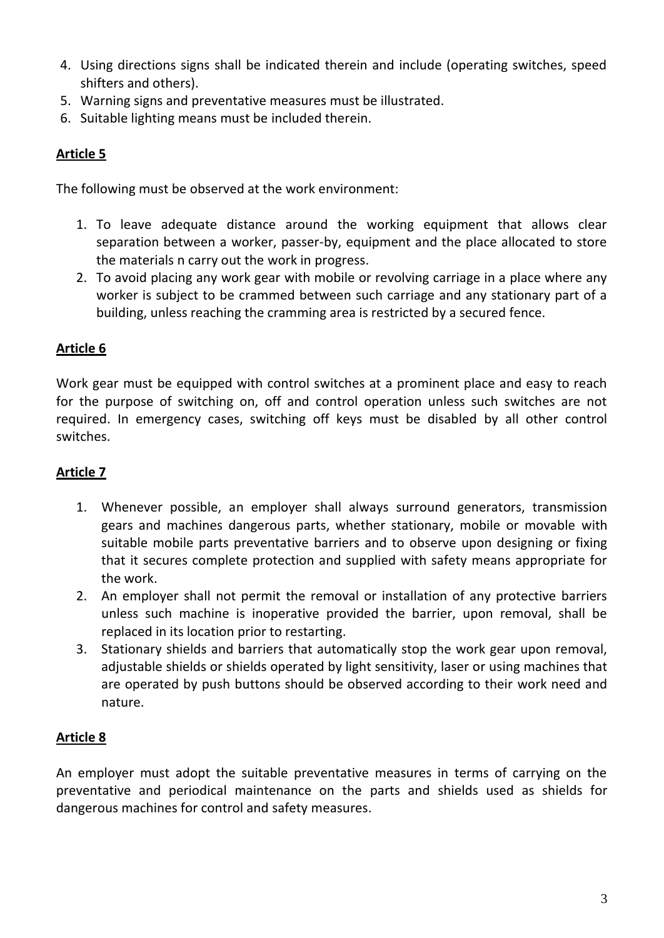- 4. Using directions signs shall be indicated therein and include (operating switches, speed shifters and others).
- 5. Warning signs and preventative measures must be illustrated.
- 6. Suitable lighting means must be included therein.

The following must be observed at the work environment:

- 1. To leave adequate distance around the working equipment that allows clear separation between a worker, passer-by, equipment and the place allocated to store the materials n carry out the work in progress.
- 2. To avoid placing any work gear with mobile or revolving carriage in a place where any worker is subject to be crammed between such carriage and any stationary part of a building, unless reaching the cramming area is restricted by a secured fence.

# **Article 6**

Work gear must be equipped with control switches at a prominent place and easy to reach for the purpose of switching on, off and control operation unless such switches are not required. In emergency cases, switching off keys must be disabled by all other control switches.

#### **Article 7**

- 1. Whenever possible, an employer shall always surround generators, transmission gears and machines dangerous parts, whether stationary, mobile or movable with suitable mobile parts preventative barriers and to observe upon designing or fixing that it secures complete protection and supplied with safety means appropriate for the work.
- 2. An employer shall not permit the removal or installation of any protective barriers unless such machine is inoperative provided the barrier, upon removal, shall be replaced in its location prior to restarting.
- 3. Stationary shields and barriers that automatically stop the work gear upon removal, adjustable shields or shields operated by light sensitivity, laser or using machines that are operated by push buttons should be observed according to their work need and nature.

# **Article 8**

An employer must adopt the suitable preventative measures in terms of carrying on the preventative and periodical maintenance on the parts and shields used as shields for dangerous machines for control and safety measures.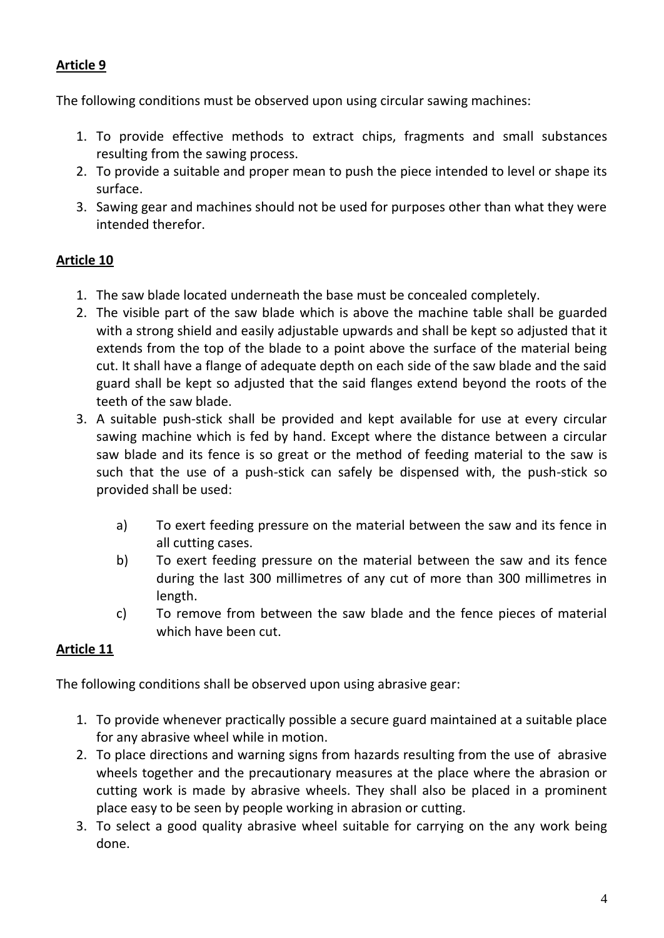The following conditions must be observed upon using circular sawing machines:

- 1. To provide effective methods to extract chips, fragments and small substances resulting from the sawing process.
- 2. To provide a suitable and proper mean to push the piece intended to level or shape its surface.
- 3. Sawing gear and machines should not be used for purposes other than what they were intended therefor.

# **Article 10**

- 1. The saw blade located underneath the base must be concealed completely.
- 2. The visible part of the saw blade which is above the machine table shall be guarded with a strong shield and easily adjustable upwards and shall be kept so adjusted that it extends from the top of the blade to a point above the surface of the material being cut. It shall have a flange of adequate depth on each side of the saw blade and the said guard shall be kept so adjusted that the said flanges extend beyond the roots of the teeth of the saw blade.
- 3. A suitable push-stick shall be provided and kept available for use at every circular sawing machine which is fed by hand. Except where the distance between a circular saw blade and its fence is so great or the method of feeding material to the saw is such that the use of a push-stick can safely be dispensed with, the push-stick so provided shall be used:
	- a) To exert feeding pressure on the material between the saw and its fence in all cutting cases.
	- b) To exert feeding pressure on the material between the saw and its fence during the last 300 millimetres of any cut of more than 300 millimetres in length.
	- c) To remove from between the saw blade and the fence pieces of material which have been cut.

# **Article 11**

The following conditions shall be observed upon using abrasive gear:

- 1. To provide whenever practically possible a secure guard maintained at a suitable place for any abrasive wheel while in motion.
- 2. To place directions and warning signs from hazards resulting from the use of abrasive wheels together and the precautionary measures at the place where the abrasion or cutting work is made by abrasive wheels. They shall also be placed in a prominent place easy to be seen by people working in abrasion or cutting.
- 3. To select a good quality abrasive wheel suitable for carrying on the any work being done.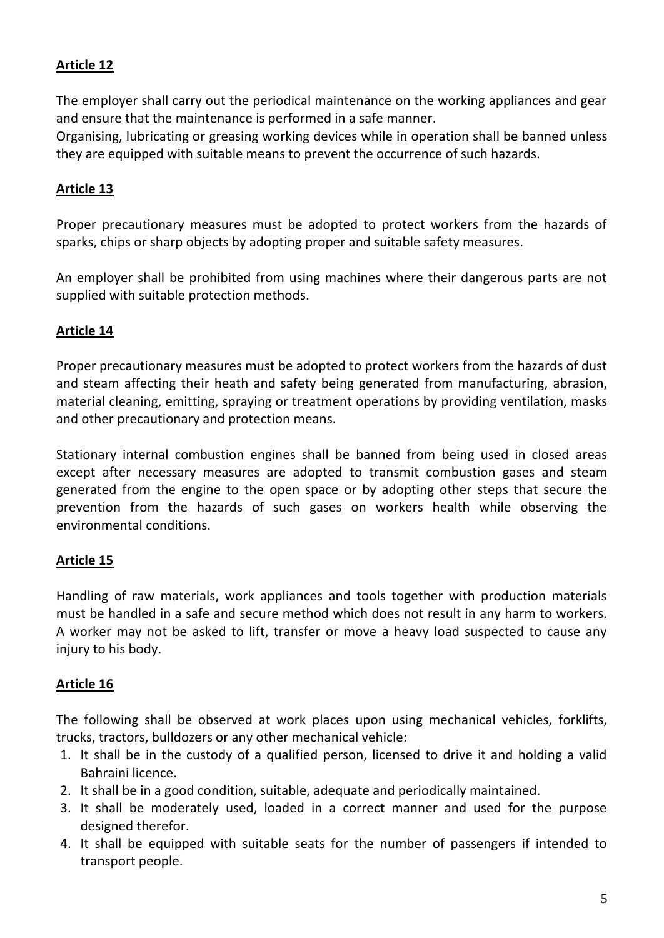The employer shall carry out the periodical maintenance on the working appliances and gear and ensure that the maintenance is performed in a safe manner.

Organising, lubricating or greasing working devices while in operation shall be banned unless they are equipped with suitable means to prevent the occurrence of such hazards.

### **Article 13**

Proper precautionary measures must be adopted to protect workers from the hazards of sparks, chips or sharp objects by adopting proper and suitable safety measures.

An employer shall be prohibited from using machines where their dangerous parts are not supplied with suitable protection methods.

#### **Article 14**

Proper precautionary measures must be adopted to protect workers from the hazards of dust and steam affecting their heath and safety being generated from manufacturing, abrasion, material cleaning, emitting, spraying or treatment operations by providing ventilation, masks and other precautionary and protection means.

Stationary internal combustion engines shall be banned from being used in closed areas except after necessary measures are adopted to transmit combustion gases and steam generated from the engine to the open space or by adopting other steps that secure the prevention from the hazards of such gases on workers health while observing the environmental conditions.

#### **Article 15**

Handling of raw materials, work appliances and tools together with production materials must be handled in a safe and secure method which does not result in any harm to workers. A worker may not be asked to lift, transfer or move a heavy load suspected to cause any injury to his body.

#### **Article 16**

The following shall be observed at work places upon using mechanical vehicles, forklifts, trucks, tractors, bulldozers or any other mechanical vehicle:

- 1. It shall be in the custody of a qualified person, licensed to drive it and holding a valid Bahraini licence.
- 2. It shall be in a good condition, suitable, adequate and periodically maintained.
- 3. It shall be moderately used, loaded in a correct manner and used for the purpose designed therefor.
- 4. It shall be equipped with suitable seats for the number of passengers if intended to transport people.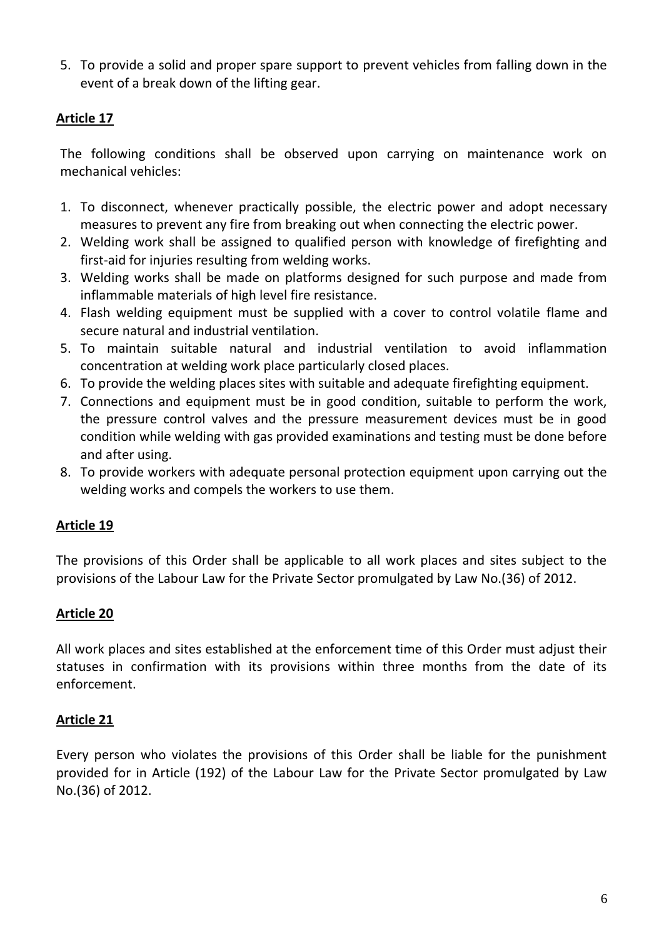5. To provide a solid and proper spare support to prevent vehicles from falling down in the event of a break down of the lifting gear.

## **Article 17**

The following conditions shall be observed upon carrying on maintenance work on mechanical vehicles:

- 1. To disconnect, whenever practically possible, the electric power and adopt necessary measures to prevent any fire from breaking out when connecting the electric power.
- 2. Welding work shall be assigned to qualified person with knowledge of firefighting and first-aid for injuries resulting from welding works.
- 3. Welding works shall be made on platforms designed for such purpose and made from inflammable materials of high level fire resistance.
- 4. Flash welding equipment must be supplied with a cover to control volatile flame and secure natural and industrial ventilation.
- 5. To maintain suitable natural and industrial ventilation to avoid inflammation concentration at welding work place particularly closed places.
- 6. To provide the welding places sites with suitable and adequate firefighting equipment.
- 7. Connections and equipment must be in good condition, suitable to perform the work, the pressure control valves and the pressure measurement devices must be in good condition while welding with gas provided examinations and testing must be done before and after using.
- 8. To provide workers with adequate personal protection equipment upon carrying out the welding works and compels the workers to use them.

#### **Article 19**

The provisions of this Order shall be applicable to all work places and sites subject to the provisions of the Labour Law for the Private Sector promulgated by Law No.(36) of 2012.

#### **Article 20**

All work places and sites established at the enforcement time of this Order must adjust their statuses in confirmation with its provisions within three months from the date of its enforcement.

#### **Article 21**

Every person who violates the provisions of this Order shall be liable for the punishment provided for in Article (192) of the Labour Law for the Private Sector promulgated by Law No.(36) of 2012.